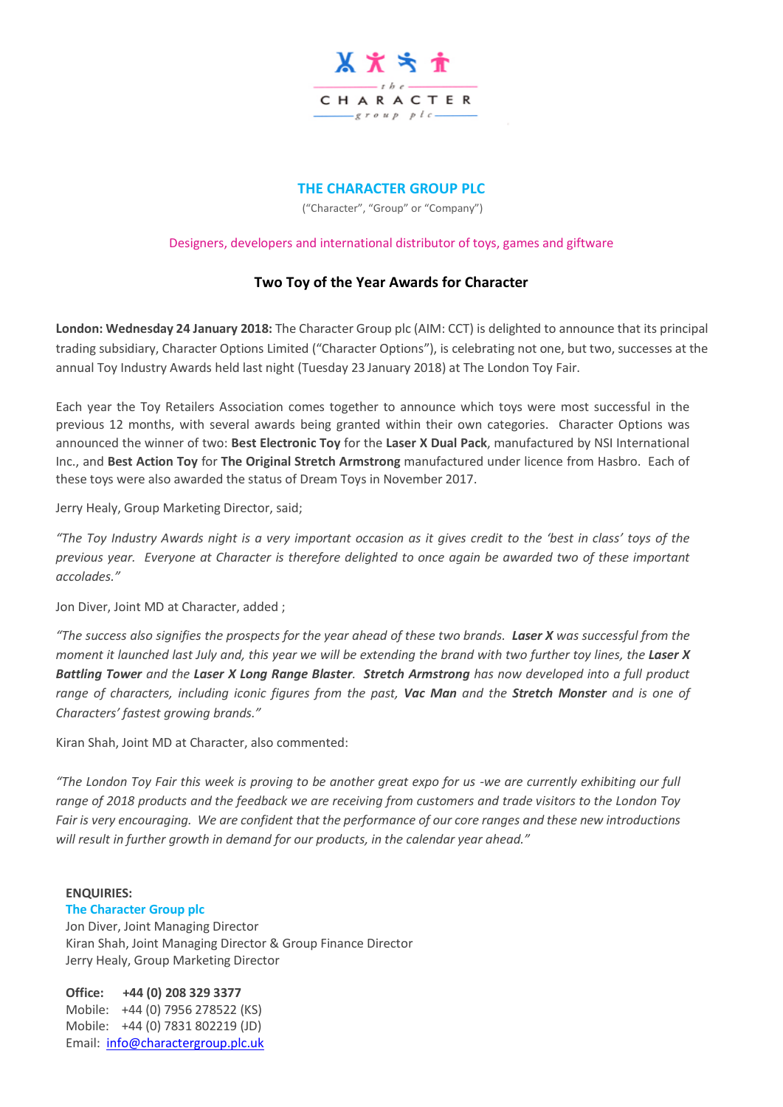

## **THE CHARACTER GROUP PLC**

("Character", "Group" or "Company")

## Designers, developers and international distributor of toys, games and giftware

## **Two Toy of the Year Awards for Character**

**London: Wednesday 24 January 2018:** The Character Group plc (AIM: CCT) is delighted to announce that its principal trading subsidiary, Character Options Limited ("Character Options"), is celebrating not one, but two, successes at the annual Toy Industry Awards held last night (Tuesday 23 January 2018) at The London Toy Fair.

Each year the Toy Retailers Association comes together to announce which toys were most successful in the previous 12 months, with several awards being granted within their own categories. Character Options was announced the winner of two: **Best Electronic Toy** for the **Laser X Dual Pack**, manufactured by NSI International Inc., and **Best Action Toy** for **The Original Stretch Armstrong** manufactured under licence from Hasbro. Each of these toys were also awarded the status of Dream Toys in November 2017.

Jerry Healy, Group Marketing Director, said;

"The Toy Industry Awards night is a very important occasion as it gives credit to the 'best in class' toys of the *previous year. Everyone at Character is therefore delighted to once again be awarded two of these important accolades."* 

Jon Diver, Joint MD at Character, added ;

"The success also signifies the prospects for the year ahead of these two brands. Laser X was successful from the moment it launched last July and, this year we will be extending the brand with two further toy lines, the Laser X Battling Tower and the Laser X Long Range Blaster. Stretch Armstrong has now developed into a full product range of characters, including iconic figures from the past, Vac Man and the Stretch Monster and is one of *Characters' fastest growing brands."*

Kiran Shah, Joint MD at Character, also commented:

*"The London Toy Fair this week is proving to be another great expo for us -we are currently exhibiting our full range of 2018 products and the feedback we are receiving from customers and trade visitors to the London Toy Fair is very encouraging. We are confident that the performance of our core ranges and these new introductions will result in further growth in demand for our products, in the calendar year ahead."*

## **ENQUIRIES:**

**The Character Group plc** Jon Diver, Joint Managing Director Kiran Shah, Joint Managing Director & Group Finance Director Jerry Healy, Group Marketing Director

**Office: +44 (0) 208 329 3377** Mobile: +44 (0) 7956 278522 (KS) Mobile: +44 (0) 7831 802219 (JD) Email: [info@charactergroup.plc.uk](mailto:info@charactergroup.plc.uk)